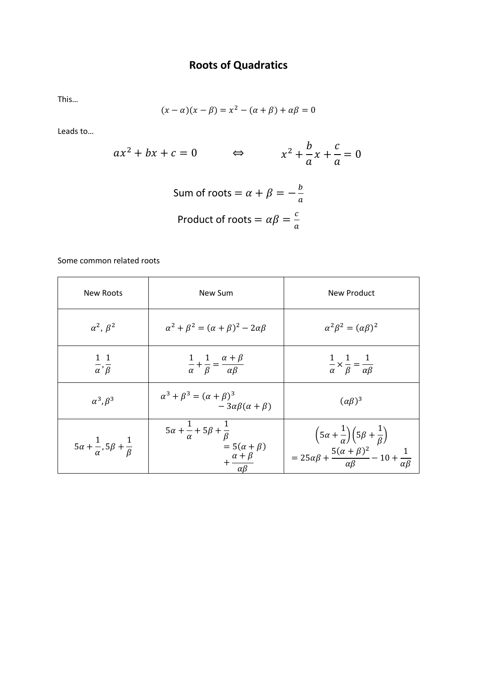## **Roots of Quadratics**

This…

$$
(x - \alpha)(x - \beta) = x^2 - (\alpha + \beta) + \alpha\beta = 0
$$

Leads to…

$$
ax^{2} + bx + c = 0 \qquad \Leftrightarrow \qquad x^{2} + \frac{b}{a}x + \frac{c}{a} = 0
$$
  
Sum of roots =  $\alpha + \beta = -\frac{b}{a}$   
Product of roots =  $\alpha\beta = \frac{c}{a}$ 

Some common related roots

| <b>New Roots</b>                                       | New Sum                                                                                                                 | New Product                                                                                                                                                            |
|--------------------------------------------------------|-------------------------------------------------------------------------------------------------------------------------|------------------------------------------------------------------------------------------------------------------------------------------------------------------------|
| $\alpha^2$ , $\beta^2$                                 | $\alpha^2 + \beta^2 = (\alpha + \beta)^2 - 2\alpha\beta$                                                                | $\alpha^2 \beta^2 = (\alpha \beta)^2$                                                                                                                                  |
| 11<br>$\overline{\alpha}'\overline{\beta}$             | $\frac{1}{\alpha} + \frac{1}{\beta} = \frac{\alpha + \beta}{\alpha \beta}$                                              | $rac{1}{\alpha} \times \frac{1}{\beta} = \frac{1}{\alpha \beta}$                                                                                                       |
| $\alpha^3, \beta^3$                                    | $\alpha^3 + \beta^3 = (\alpha + \beta)^3$<br>$-3\alpha\beta(\alpha+\beta)$                                              | $(\alpha \beta)^3$                                                                                                                                                     |
| $5\alpha + \frac{1}{\alpha}, 5\beta + \frac{1}{\beta}$ | $5\alpha + \frac{1}{\alpha} + 5\beta + \frac{1}{\beta}$<br>$= 5(\alpha + \beta)$<br>$+\frac{\alpha+\beta}{\alpha\beta}$ | $\left(5\alpha+\frac{1}{\alpha}\right)\left(5\beta+\frac{1}{\beta}\right)$<br>$= 25\alpha\beta + \frac{5(\alpha + \beta)^2}{\alpha\beta} - 10 + \frac{1}{\alpha\beta}$ |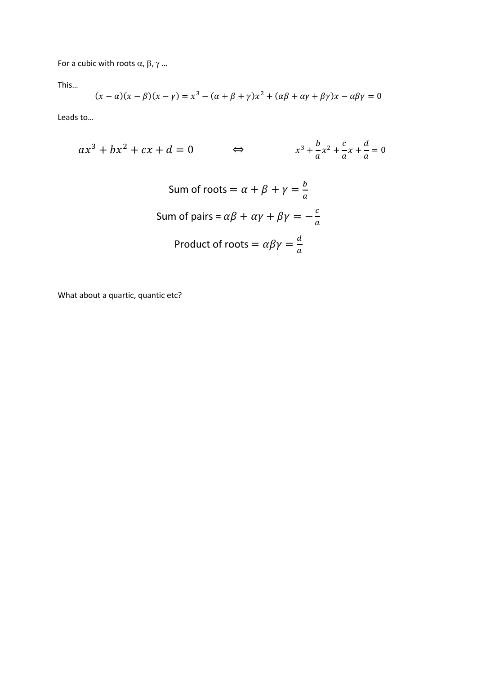For a cubic with roots  $\alpha$ ,  $\beta$ ,  $\gamma$  ...

This…

$$
(x - \alpha)(x - \beta)(x - \gamma) = x^3 - (\alpha + \beta + \gamma)x^2 + (\alpha\beta + \alpha\gamma + \beta\gamma)x - \alpha\beta\gamma = 0
$$

Leads to…

$$
ax^{3} + bx^{2} + cx + d = 0 \qquad \Leftrightarrow \qquad x^{3} + \frac{b}{a}x^{2} + \frac{c}{a}x + \frac{d}{a} = 0
$$
  
Sum of roots =  $\alpha + \beta + \gamma = \frac{b}{a}$   
Sum of pairs =  $\alpha\beta + \alpha\gamma + \beta\gamma = -\frac{c}{a}$   
Product of roots =  $\alpha\beta\gamma = \frac{d}{a}$ 

What about a quartic, quantic etc?